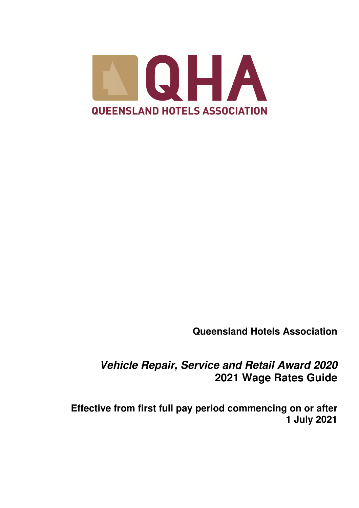

**Queensland Hotels Association** 

*Vehicle Repair, Service and Retail Award 2020*  **2021 Wage Rates Guide** 

**Effective from first full pay period commencing on or after 1 July 2021**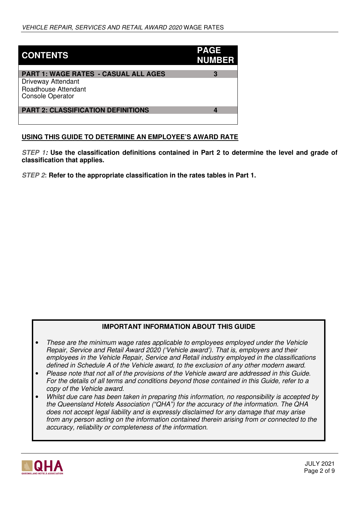| <b>CONTENTS</b>                                                                                                            | <b>PAGE</b><br><b>NUMBER</b> |
|----------------------------------------------------------------------------------------------------------------------------|------------------------------|
| <b>PART 1: WAGE RATES - CASUAL ALL AGES</b><br><b>Driveway Attendant</b><br>Roadhouse Attendant<br><b>Console Operator</b> |                              |
| <b>PART 2: CLASSIFICATION DEFINITIONS</b>                                                                                  |                              |

## **USING THIS GUIDE TO DETERMINE AN EMPLOYEE'S AWARD RATE**

*STEP 1:* **Use the classification definitions contained in Part 2 to determine the level and grade of classification that applies.** 

*STEP 2***: Refer to the appropriate classification in the rates tables in Part 1.**

## **IMPORTANT INFORMATION ABOUT THIS GUIDE**

- *These are the minimum wage rates applicable to employees employed under the Vehicle Repair, Service and Retail Award 2020 ('Vehicle award'). That is, employers and their employees in the Vehicle Repair, Service and Retail industry employed in the classifications defined in Schedule A of the Vehicle award, to the exclusion of any other modern award.*
- *Please note that not all of the provisions of the Vehicle award are addressed in this Guide. For the details of all terms and conditions beyond those contained in this Guide, refer to a copy of the Vehicle award.*
- *Whilst due care has been taken in preparing this information, no responsibility is accepted by the Queensland Hotels Association ("QHA") for the accuracy of the information. The QHA does not accept legal liability and is expressly disclaimed for any damage that may arise from any person acting on the information contained therein arising from or connected to the accuracy, reliability or completeness of the information.*

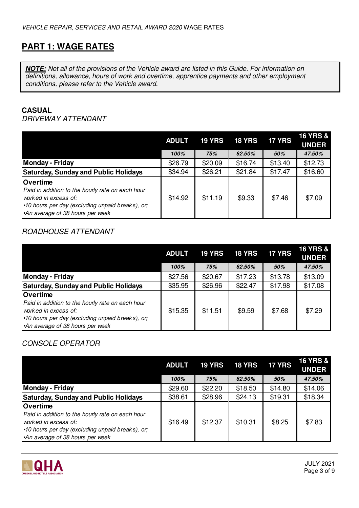# **PART 1: WAGE RATES**

*NOTE: Not all of the provisions of the Vehicle award are listed in this Guide. For information on definitions, allowance, hours of work and overtime, apprentice payments and other employment conditions, please refer to the Vehicle award.* 

## **CASUAL**

## *DRIVEWAY ATTENDANT*

|                                                                                                                                                                                    | <b>ADULT</b> | <b>19 YRS</b> | <b>18 YRS</b> | <b>17 YRS</b> | <b>16 YRS &amp;</b><br><b>UNDER</b> |
|------------------------------------------------------------------------------------------------------------------------------------------------------------------------------------|--------------|---------------|---------------|---------------|-------------------------------------|
|                                                                                                                                                                                    | 100%         | 75%           | 62.50%        | 50%           | 47.50%                              |
| <b>Monday - Friday</b>                                                                                                                                                             | \$26.79      | \$20.09       | \$16.74       | \$13.40       | \$12.73                             |
| <b>Saturday, Sunday and Public Holidays</b>                                                                                                                                        | \$34.94      | \$26.21       | \$21.84       | \$17.47       | \$16.60                             |
| <b>Overtime</b><br>Paid in addition to the hourly rate on each hour<br>worked in excess of:<br>•10 hours per day (excluding unpaid breaks), or;<br>An average of 38 hours per week | \$14.92      | \$11.19       | \$9.33        | \$7.46        | \$7.09                              |

# *ROADHOUSE ATTENDANT*

|                                                                                                                                                                                    | <b>ADULT</b> | <b>19 YRS</b> | <b>18 YRS</b> | <b>17 YRS</b> | <b>16 YRS &amp;</b><br><b>UNDER</b> |
|------------------------------------------------------------------------------------------------------------------------------------------------------------------------------------|--------------|---------------|---------------|---------------|-------------------------------------|
|                                                                                                                                                                                    | 100%         | 75%           | 62.50%        | 50%           | 47.50%                              |
| <b>Monday - Friday</b>                                                                                                                                                             | \$27.56      | \$20.67       | \$17.23       | \$13.78       | \$13.09                             |
| <b>Saturday, Sunday and Public Holidays</b>                                                                                                                                        | \$35.95      | \$26.96       | \$22.47       | \$17.98       | \$17.08                             |
| <b>Overtime</b><br>Paid in addition to the hourly rate on each hour<br>worked in excess of:<br>•10 hours per day (excluding unpaid breaks), or;<br>An average of 38 hours per week | \$15.35      | \$11.51       | \$9.59        | \$7.68        | \$7.29                              |

# *CONSOLE OPERATOR*

|                                                                                                                                                                                     | <b>ADULT</b> | <b>19 YRS</b> | <b>18 YRS</b> | <b>17 YRS</b> | <b>16 YRS &amp;</b><br><b>UNDER</b> |
|-------------------------------------------------------------------------------------------------------------------------------------------------------------------------------------|--------------|---------------|---------------|---------------|-------------------------------------|
|                                                                                                                                                                                     | 100%         | 75%           | 62.50%        | 50%           | 47.50%                              |
| <b>Monday - Friday</b>                                                                                                                                                              | \$29.60      | \$22.20       | \$18.50       | \$14.80       | \$14.06                             |
| <b>Saturday, Sunday and Public Holidays</b>                                                                                                                                         | \$38.61      | \$28.96       | \$24.13       | \$19.31       | \$18.34                             |
| <b>Overtime</b><br>Paid in addition to the hourly rate on each hour<br>worked in excess of:<br>•10 hours per day (excluding unpaid breaks), or;<br>•An average of 38 hours per week | \$16.49      | \$12.37       | \$10.31       | \$8.25        | \$7.83                              |

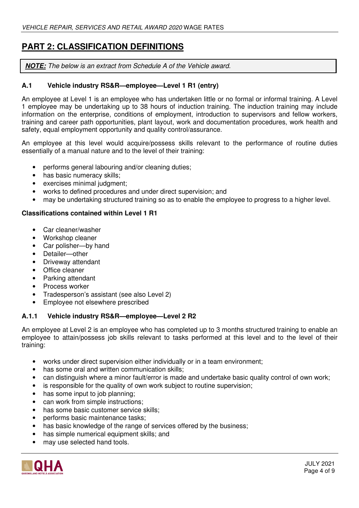# **PART 2: CLASSIFICATION DEFINITIONS**

*NOTE: The below is an extract from Schedule A of the Vehicle award.* 

## **A.1 Vehicle industry RS&R—employee—Level 1 R1 (entry)**

An employee at Level 1 is an employee who has undertaken little or no formal or informal training. A Level 1 employee may be undertaking up to 38 hours of induction training. The induction training may include information on the enterprise, conditions of employment, introduction to supervisors and fellow workers, training and career path opportunities, plant layout, work and documentation procedures, work health and safety, equal employment opportunity and quality control/assurance.

An employee at this level would acquire/possess skills relevant to the performance of routine duties essentially of a manual nature and to the level of their training:

- performs general labouring and/or cleaning duties;
- has basic numeracy skills;
- exercises minimal judgment;
- works to defined procedures and under direct supervision; and
- may be undertaking structured training so as to enable the employee to progress to a higher level.

#### **Classifications contained within Level 1 R1**

- Car cleaner/washer
- Workshop cleaner
- Car polisher—by hand
- Detailer—other
- Driveway attendant
- Office cleaner
- Parking attendant
- Process worker
- Tradesperson's assistant (see also Level 2)
- Employee not elsewhere prescribed

## **A.1.1 Vehicle industry RS&R—employee—Level 2 R2**

An employee at Level 2 is an employee who has completed up to 3 months structured training to enable an employee to attain/possess job skills relevant to tasks performed at this level and to the level of their training:

- works under direct supervision either individually or in a team environment;
- has some oral and written communication skills;
- can distinguish where a minor fault/error is made and undertake basic quality control of own work;
- is responsible for the quality of own work subject to routine supervision;
- has some input to job planning;
- can work from simple instructions:
- has some basic customer service skills;
- performs basic maintenance tasks;
- has basic knowledge of the range of services offered by the business;
- has simple numerical equipment skills; and
- may use selected hand tools.

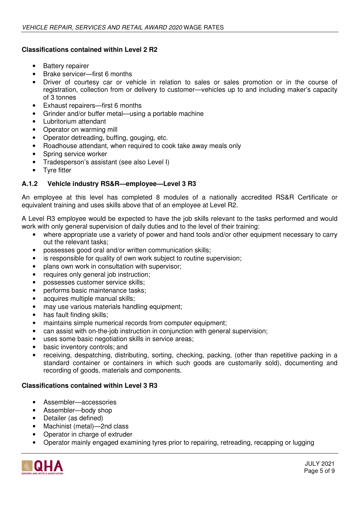## **Classifications contained within Level 2 R2**

- Battery repairer
- Brake servicer—first 6 months
- Driver of courtesy car or vehicle in relation to sales or sales promotion or in the course of registration, collection from or delivery to customer—vehicles up to and including maker's capacity of 3 tonnes
- Exhaust repairers—first 6 months
- Grinder and/or buffer metal—using a portable machine
- Lubritorium attendant
- Operator on warming mill
- Operator detreading, buffing, gouging, etc.
- Roadhouse attendant, when required to cook take away meals only
- Spring service worker
- Tradesperson's assistant (see also Level I)
- Tyre fitter

## **A.1.2 Vehicle industry RS&R—employee—Level 3 R3**

An employee at this level has completed 8 modules of a nationally accredited RS&R Certificate or equivalent training and uses skills above that of an employee at Level R2.

A Level R3 employee would be expected to have the job skills relevant to the tasks performed and would work with only general supervision of daily duties and to the level of their training:

- where appropriate use a variety of power and hand tools and/or other equipment necessary to carry out the relevant tasks;
- possesses good oral and/or written communication skills;
- is responsible for quality of own work subject to routine supervision;
- plans own work in consultation with supervisor;
- requires only general job instruction;
- possesses customer service skills;
- performs basic maintenance tasks;
- acquires multiple manual skills;
- may use various materials handling equipment;
- has fault finding skills;
- maintains simple numerical records from computer equipment;
- can assist with on-the-job instruction in conjunction with general supervision;
- uses some basic negotiation skills in service areas;
- basic inventory controls; and
- receiving, despatching, distributing, sorting, checking, packing, (other than repetitive packing in a standard container or containers in which such goods are customarily sold), documenting and recording of goods, materials and components.

## **Classifications contained within Level 3 R3**

- Assembler—accessories
- Assembler—body shop
- Detailer (as defined)
- Machinist (metal)—2nd class
- Operator in charge of extruder
- Operator mainly engaged examining tyres prior to repairing, retreading, recapping or lugging

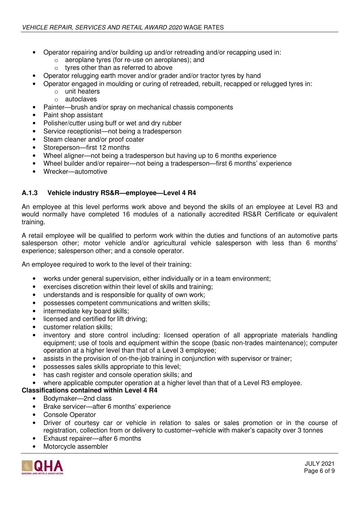- Operator repairing and/or building up and/or retreading and/or recapping used in:
	- o aeroplane tyres (for re-use on aeroplanes); and
	- o tyres other than as referred to above
- Operator relugging earth mover and/or grader and/or tractor tyres by hand
- Operator engaged in moulding or curing of retreaded, rebuilt, recapped or relugged tyres in:
	- o unit heaters
	- o autoclaves
- Painter—brush and/or spray on mechanical chassis components
- Paint shop assistant
- Polisher/cutter using buff or wet and dry rubber
- Service receptionist—not being a tradesperson
- Steam cleaner and/or proof coater
- Storeperson-first 12 months
- Wheel aligner—not being a tradesperson but having up to 6 months experience
- Wheel builder and/or repairer—not being a tradesperson—first 6 months' experience
- Wrecker—automotive

#### **A.1.3 Vehicle industry RS&R—employee—Level 4 R4**

An employee at this level performs work above and beyond the skills of an employee at Level R3 and would normally have completed 16 modules of a nationally accredited RS&R Certificate or equivalent training.

A retail employee will be qualified to perform work within the duties and functions of an automotive parts salesperson other; motor vehicle and/or agricultural vehicle salesperson with less than 6 months' experience; salesperson other; and a console operator.

An employee required to work to the level of their training:

- works under general supervision, either individually or in a team environment;
- exercises discretion within their level of skills and training;
- understands and is responsible for quality of own work;
- possesses competent communications and written skills;
- intermediate key board skills;
- licensed and certified for lift driving;
- customer relation skills;
- inventory and store control including: licensed operation of all appropriate materials handling equipment; use of tools and equipment within the scope (basic non-trades maintenance); computer operation at a higher level than that of a Level 3 employee;
- assists in the provision of on-the-job training in conjunction with supervisor or trainer;
- possesses sales skills appropriate to this level;
- has cash register and console operation skills; and
- where applicable computer operation at a higher level than that of a Level R3 employee.

## **Classifications contained within Level 4 R4**

- Bodymaker—2nd class
- Brake servicer—after 6 months' experience
- Console Operator
- Driver of courtesy car or vehicle in relation to sales or sales promotion or in the course of registration, collection from or delivery to customer–vehicle with maker's capacity over 3 tonnes
- Exhaust repairer—after 6 months
- Motorcycle assembler

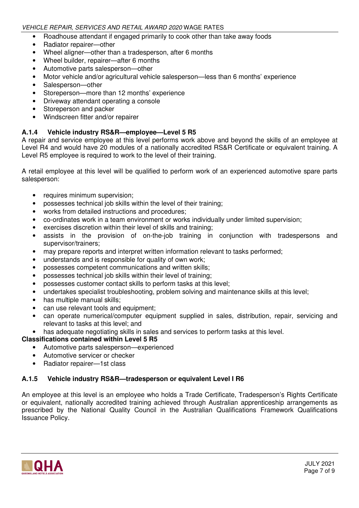- Roadhouse attendant if engaged primarily to cook other than take away foods
- Radiator repairer—other
- Wheel aligner—other than a tradesperson, after 6 months
- Wheel builder, repairer—after 6 months
- Automotive parts salesperson—other
- Motor vehicle and/or agricultural vehicle salesperson—less than 6 months' experience
- Salesperson-other
- Storeperson—more than 12 months' experience
- Driveway attendant operating a console
- Storeperson and packer
- Windscreen fitter and/or repairer

## **A.1.4 Vehicle industry RS&R—employee—Level 5 R5**

A repair and service employee at this level performs work above and beyond the skills of an employee at Level R4 and would have 20 modules of a nationally accredited RS&R Certificate or equivalent training. A Level R5 employee is required to work to the level of their training.

A retail employee at this level will be qualified to perform work of an experienced automotive spare parts salesperson:

- requires minimum supervision;
- possesses technical job skills within the level of their training;
- works from detailed instructions and procedures;
- co-ordinates work in a team environment or works individually under limited supervision;
- exercises discretion within their level of skills and training;
- assists in the provision of on-the-job training in conjunction with tradespersons and supervisor/trainers;
- may prepare reports and interpret written information relevant to tasks performed;
- understands and is responsible for quality of own work;
- possesses competent communications and written skills;
- possesses technical job skills within their level of training:
- possesses customer contact skills to perform tasks at this level;
- undertakes specialist troubleshooting, problem solving and maintenance skills at this level;
- has multiple manual skills;
- can use relevant tools and equipment;
- can operate numerical/computer equipment supplied in sales, distribution, repair, servicing and relevant to tasks at this level; and
- has adequate negotiating skills in sales and services to perform tasks at this level.

**Classifications contained within Level 5 R5** 

- Automotive parts salesperson—experienced
- Automotive servicer or checker
- Radiator repairer—1st class

## **A.1.5 Vehicle industry RS&R—tradesperson or equivalent Level I R6**

An employee at this level is an employee who holds a Trade Certificate, Tradesperson's Rights Certificate or equivalent, nationally accredited training achieved through Australian apprenticeship arrangements as prescribed by the National Quality Council in the Australian Qualifications Framework Qualifications Issuance Policy.

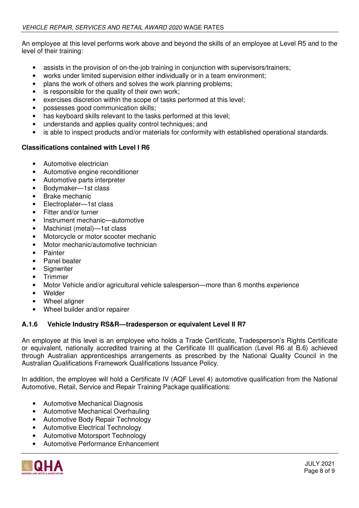An employee at this level performs work above and beyond the skills of an employee at Level R5 and to the level of their training:

- assists in the provision of on-the-job training in conjunction with supervisors/trainers;
- works under limited supervision either individually or in a team environment;
- plans the work of others and solves the work planning problems;
- is responsible for the quality of their own work;
- exercises discretion within the scope of tasks performed at this level;
- possesses good communication skills;
- has keyboard skills relevant to the tasks performed at this level;
- understands and applies quality control techniques; and
- is able to inspect products and/or materials for conformity with established operational standards.

#### **Classifications contained with Level I R6**

- Automotive electrician
- Automotive engine reconditioner
- Automotive parts interpreter
- Bodymaker—1st class
- Brake mechanic
- Electroplater—1st class
- Fitter and/or turner
- Instrument mechanic—automotive
- Machinist (metal)-1st class
- Motorcycle or motor scooter mechanic
- Motor mechanic/automotive technician
- **Painter**
- Panel beater
- **Signwriter**
- Trimmer
- Motor Vehicle and/or agricultural vehicle salesperson—more than 6 months experience
- Welder
- Wheel aligner
- Wheel builder and/or repairer

## **A.1.6 Vehicle Industry RS&R—tradesperson or equivalent Level II R7**

An employee at this level is an employee who holds a Trade Certificate, Tradesperson's Rights Certificate or equivalent, nationally accredited training at the Certificate III qualification (Level R6 at B.6) achieved through Australian apprenticeships arrangements as prescribed by the National Quality Council in the Australian Qualifications Framework Qualifications Issuance Policy.

In addition, the employee will hold a Certificate IV (AQF Level 4) automotive qualification from the National Automotive, Retail, Service and Repair Training Package qualifications:

- Automotive Mechanical Diagnosis
- Automotive Mechanical Overhauling
- Automotive Body Repair Technology
- Automotive Electrical Technology
- Automotive Motorsport Technology
- Automotive Performance Enhancement